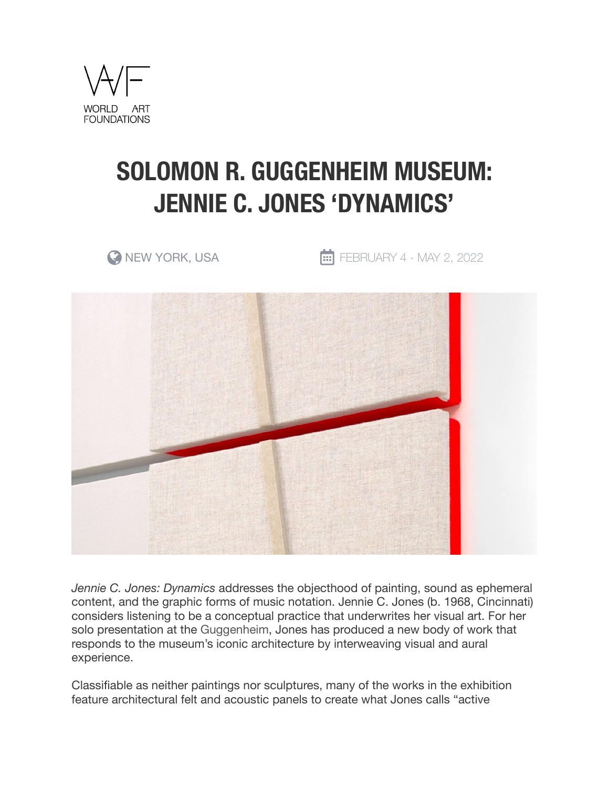

## **SOLOMON R. GUGGENHEIM MUSEUM: JENNIE C. JONES 'DYNAMICS'**

 $\bullet$  NEW YORK, USA  $\bullet$  FEBRUARY 4 - MAY 2, 2022



*Jennie C. Jones: Dynamics* addresses the objecthood of painting, sound as ephemeral content, and the graphic forms of music notation. Jennie C. Jones (b. 1968, Cincinnati) considers listening to be a conceptual practice that underwrites her visual art. For her solo presentation at the Guggenheim, Jones has produced a new body of work that responds to the museum's iconic architecture by interweaving visual and aural experience.

Classifiable as neither paintings nor sculptures, many of the works in the exhibition feature architectural felt and acoustic panels to create what Jones calls "active